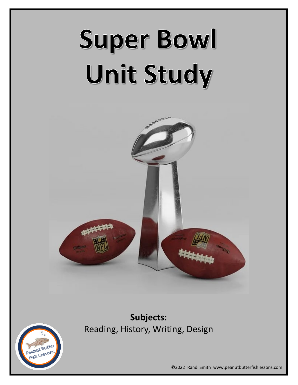# Super Bowl Unit Study



**Subjects:**  Reading, History, Writing, Design



©2022 Randi Smith www.peanutbutterfishlessons.com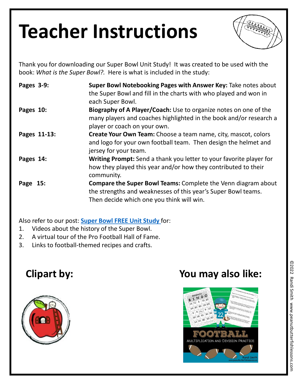### **Teacher Instructions**



Thank you for downloading our Super Bowl Unit Study! It was created to be used with the book: *What is the Super Bowl?.* Here is what is included in the study:

| Pages 3-9:   | Super Bowl Notebooking Pages with Answer Key: Take notes about<br>the Super Bowl and fill in the charts with who played and won in<br>each Super Bowl.                             |
|--------------|------------------------------------------------------------------------------------------------------------------------------------------------------------------------------------|
| Pages 10:    | Biography of A Player/Coach: Use to organize notes on one of the<br>many players and coaches highlighted in the book and/or research a<br>player or coach on your own.             |
| Pages 11-13: | Create Your Own Team: Choose a team name, city, mascot, colors<br>and logo for your own football team. Then design the helmet and<br>jersey for your team.                         |
| Pages 14:    | <b>Writing Prompt:</b> Send a thank you letter to your favorite player for<br>how they played this year and/or how they contributed to their<br>community.                         |
| Page 15:     | <b>Compare the Super Bowl Teams: Complete the Venn diagram about</b><br>the strengths and weaknesses of this year's Super Bowl teams.<br>Then decide which one you think will win. |

Also refer to our post: **[Super Bowl FREE Unit Study](https://wp.me/p84QnK-322)** for:

- 1. Videos about the history of the Super Bowl.
- 2. A virtual tour of the Pro Football Hall of Fame.
- 3. Links to football-themed recipes and crafts.



#### **Clipart by: You may also like:**

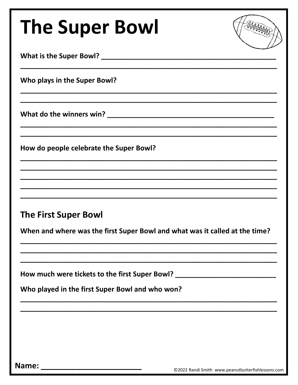| <b>The Super Bowl</b>                                                            |  |
|----------------------------------------------------------------------------------|--|
|                                                                                  |  |
| Who plays in the Super Bowl?                                                     |  |
|                                                                                  |  |
| How do people celebrate the Super Bowl?                                          |  |
|                                                                                  |  |
| <b>The First Super Bowl</b>                                                      |  |
| When and where was the first Super Bowl and what was it called at the time?      |  |
| How much were tickets to the first Super Bowl? _________________________________ |  |
| Who played in the first Super Bowl and who won?                                  |  |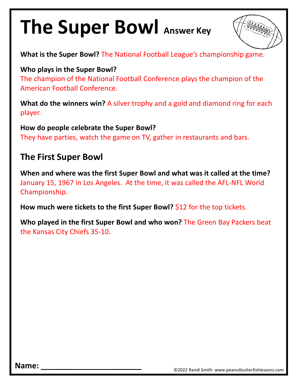#### **The Super Bowl Answer Key**



**What is the Super Bowl?** The National Football League's championship game.

**Who plays in the Super Bowl?**

The champion of the National Football Conference plays the champion of the American Football Conference.

**What do the winners win?** A silver trophy and a gold and diamond ring for each player.

**How do people celebrate the Super Bowl?** They have parties, watch the game on TV, gather in restaurants and bars.

#### **The First Super Bowl**

**When and where was the first Super Bowl and what was it called at the time?** January 15, 1967 in Los Angeles. At the time, it was called the AFL-NFL World Championship.

How much were tickets to the first Super Bowl? \$12 for the top tickets.

**Who played in the first Super Bowl and who won?** The Green Bay Packers beat the Kansas City Chiefs 35-10.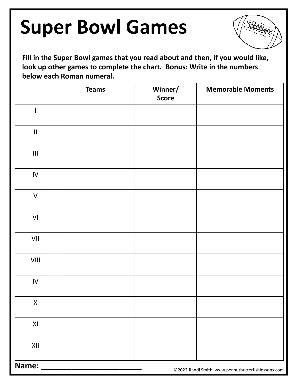

**Fill in the Super Bowl games that you read about and then, if you would like, look up other games to complete the chart. Bonus: Write in the numbers below each Roman numeral.**

|                                                                  | <b>Teams</b> | Winner/<br><b>Score</b> | <b>Memorable Moments</b>                          |
|------------------------------------------------------------------|--------------|-------------------------|---------------------------------------------------|
|                                                                  |              |                         |                                                   |
| $\ensuremath{\mathsf{II}}$                                       |              |                         |                                                   |
| $\ensuremath{\mathsf{III}}\xspace$                               |              |                         |                                                   |
| ${\sf IV}$                                                       |              |                         |                                                   |
| $\mathsf{V}$                                                     |              |                         |                                                   |
| $\mathsf{VI}$                                                    |              |                         |                                                   |
| VII                                                              |              |                         |                                                   |
| $\ensuremath{\mathsf{V}}\xspace\ensuremath{\mathsf{III}}\xspace$ |              |                         |                                                   |
| ${\sf IV}$                                                       |              |                         |                                                   |
| $\mathsf{X}^-$                                                   |              |                         |                                                   |
| XI                                                               |              |                         |                                                   |
| XII                                                              |              |                         |                                                   |
| Name:                                                            |              |                         | ©2022 Randi Smith www.peanutbutterfishlessons.com |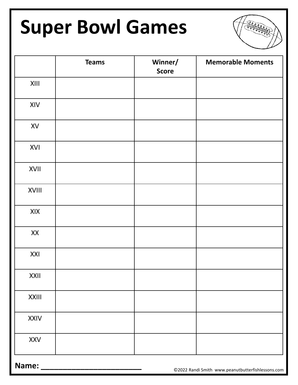

**Name: \_\_\_\_\_\_\_\_\_\_\_\_\_\_\_\_\_\_\_\_\_\_\_** ©2022 Randi Smith www.peanutbutterfishlessons.com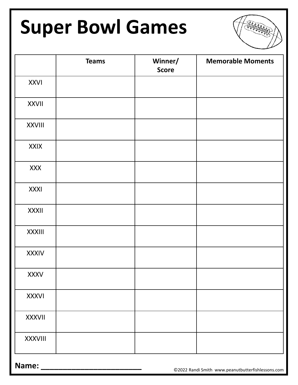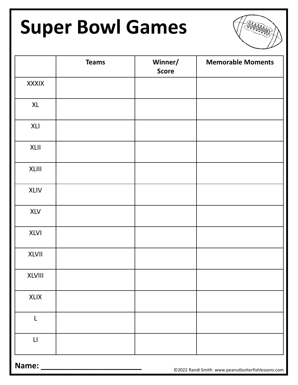

|                        | <b>Teams</b> | Winner/<br><b>Score</b> | <b>Memorable Moments</b> |
|------------------------|--------------|-------------------------|--------------------------|
| <b>XXXIX</b>           |              |                         |                          |
| XL                     |              |                         |                          |
| XLI                    |              |                         |                          |
| XLII                   |              |                         |                          |
| XLIII                  |              |                         |                          |
| <b>XLIV</b>            |              |                         |                          |
| <b>XLV</b>             |              |                         |                          |
| <b>XLVI</b>            |              |                         |                          |
| <b>XLVII</b>           |              |                         |                          |
| <b>XLVIII</b>          |              |                         |                          |
| <b>XLIX</b>            |              |                         |                          |
| L                      |              |                         |                          |
| $\mathsf{L}\mathsf{I}$ |              |                         |                          |

**Name: \_\_\_\_\_\_\_\_\_\_\_\_\_\_\_\_\_\_\_\_\_\_\_** ©2022 Randi Smith www.peanutbutterfishlessons.com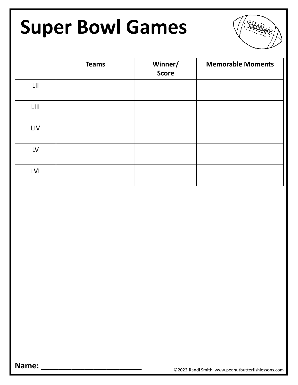

|                 | <b>Teams</b> | Winner/<br><b>Score</b> | <b>Memorable Moments</b> |
|-----------------|--------------|-------------------------|--------------------------|
| $L \mathbf{II}$ |              |                         |                          |
| $LIII$          |              |                         |                          |
| LIV             |              |                         |                          |
| LV              |              |                         |                          |
| <b>LVI</b>      |              |                         |                          |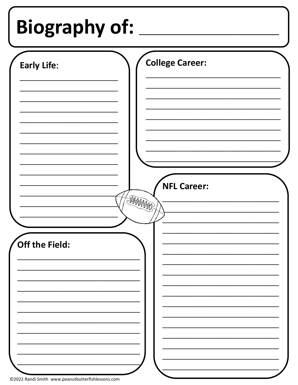# Biography of: \_\_

| <b>Early Life:</b><br><b>AHAHAD</b><br>Off the Field: | <b>College Career:</b><br><b>NFL Career:</b> |
|-------------------------------------------------------|----------------------------------------------|
|                                                       |                                              |
|                                                       |                                              |
|                                                       |                                              |
|                                                       |                                              |
|                                                       |                                              |
|                                                       |                                              |
|                                                       |                                              |
|                                                       |                                              |
|                                                       |                                              |
|                                                       |                                              |
|                                                       |                                              |
|                                                       |                                              |
|                                                       |                                              |
|                                                       |                                              |
|                                                       |                                              |
|                                                       |                                              |
|                                                       |                                              |
|                                                       |                                              |
|                                                       |                                              |
|                                                       |                                              |
|                                                       |                                              |
|                                                       |                                              |
|                                                       |                                              |
|                                                       |                                              |
|                                                       |                                              |
|                                                       |                                              |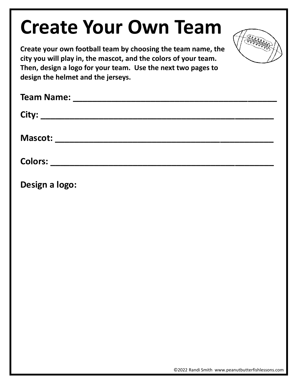#### **Create Your Own Team**



**Create your own football team by choosing the team name, the city you will play in, the mascot, and the colors of your team. Then, design a logo for your team. Use the next two pages to design the helmet and the jerseys.**

| Design a logo: |
|----------------|
|                |
|                |
|                |
|                |
|                |
|                |
|                |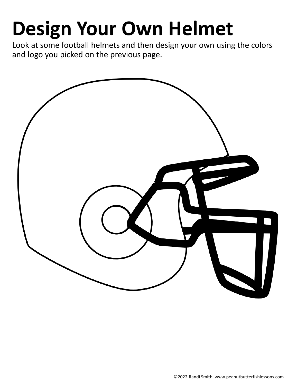## **Design Your Own Helmet**

Look at some football helmets and then design your own using the colors and logo you picked on the previous page.

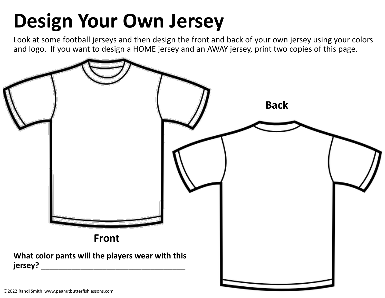### **Design Your Own Jersey**

Look at some football jerseys and then design the front and back of your own jersey using your colors and logo. If you want to design a HOME jersey and an AWAY jersey, print two copies of this page.

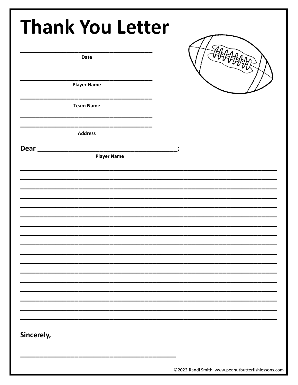|      | <b>Date</b>        |                    |  |  |
|------|--------------------|--------------------|--|--|
|      | <b>Player Name</b> |                    |  |  |
|      | <b>Team Name</b>   |                    |  |  |
|      | <b>Address</b>     |                    |  |  |
| Dear |                    | <b>Player Name</b> |  |  |
|      |                    |                    |  |  |
|      |                    |                    |  |  |
|      |                    |                    |  |  |
|      |                    |                    |  |  |
|      |                    |                    |  |  |
|      |                    |                    |  |  |
|      |                    |                    |  |  |
|      |                    |                    |  |  |
|      |                    |                    |  |  |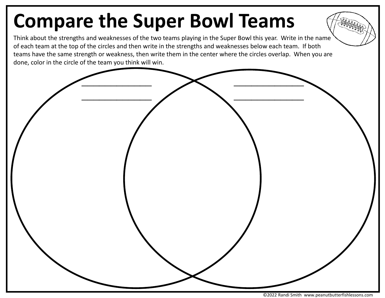### **Compare the Super Bowl Teams**

Think about the strengths and weaknesses of the two teams playing in the Super Bowl this year. Write in the name of each team at the top of the circles and then write in the strengths and weaknesses below each team. If both teams have the same strength or weakness, then write them in the center where the circles overlap. When you are done, color in the circle of the team you think will win.